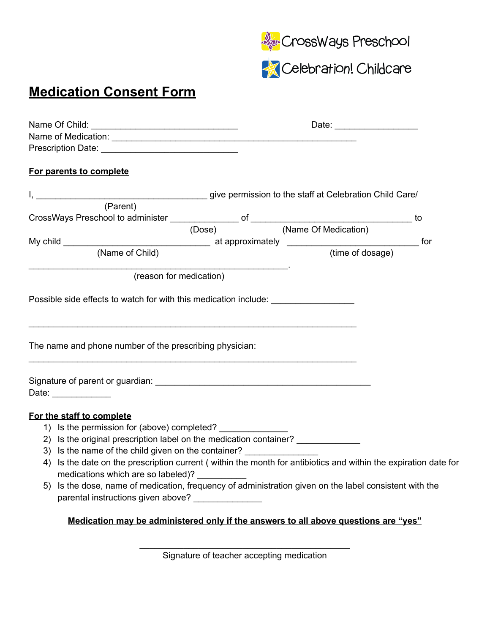



## **Medication Consent Form**

| Prescription Date: New York Street, New York Street, New York Street, New York Street, New York Street, New York Street, New York Street, New York Street, New York Street, New York Street, New York Street, New York Street, |  |  |
|--------------------------------------------------------------------------------------------------------------------------------------------------------------------------------------------------------------------------------|--|--|
| For parents to complete                                                                                                                                                                                                        |  |  |
|                                                                                                                                                                                                                                |  |  |
|                                                                                                                                                                                                                                |  |  |
|                                                                                                                                                                                                                                |  |  |
|                                                                                                                                                                                                                                |  |  |
|                                                                                                                                                                                                                                |  |  |
|                                                                                                                                                                                                                                |  |  |
| (reason for medication)                                                                                                                                                                                                        |  |  |
|                                                                                                                                                                                                                                |  |  |
| Possible side effects to watch for with this medication include: _______________                                                                                                                                               |  |  |
|                                                                                                                                                                                                                                |  |  |
|                                                                                                                                                                                                                                |  |  |
|                                                                                                                                                                                                                                |  |  |
| The name and phone number of the prescribing physician:                                                                                                                                                                        |  |  |
|                                                                                                                                                                                                                                |  |  |
|                                                                                                                                                                                                                                |  |  |
|                                                                                                                                                                                                                                |  |  |
| Date: $\frac{1}{\sqrt{1-\frac{1}{2}}\cdot\frac{1}{\sqrt{1-\frac{1}{2}}}}$                                                                                                                                                      |  |  |
|                                                                                                                                                                                                                                |  |  |
| For the staff to complete                                                                                                                                                                                                      |  |  |
| 1) Is the permission for (above) completed?                                                                                                                                                                                    |  |  |
| 2) Is the original prescription label on the medication container? _____________                                                                                                                                               |  |  |
| 3) Is the name of the child given on the container?                                                                                                                                                                            |  |  |
| 4) Is the date on the prescription current (within the month for antibiotics and within the expiration date for<br>medications which are so labeled)?                                                                          |  |  |
| 5) Is the dose, name of medication, frequency of administration given on the label consistent with the                                                                                                                         |  |  |
| parental instructions given above? ______________                                                                                                                                                                              |  |  |
| Medication may be administered only if the answers to all above questions are "yes"                                                                                                                                            |  |  |
|                                                                                                                                                                                                                                |  |  |

\_\_\_\_\_\_\_\_\_\_\_\_\_\_\_\_\_\_\_\_\_\_\_\_\_\_\_\_\_\_\_\_\_\_\_\_\_\_\_\_\_\_\_ Signature of teacher accepting medication